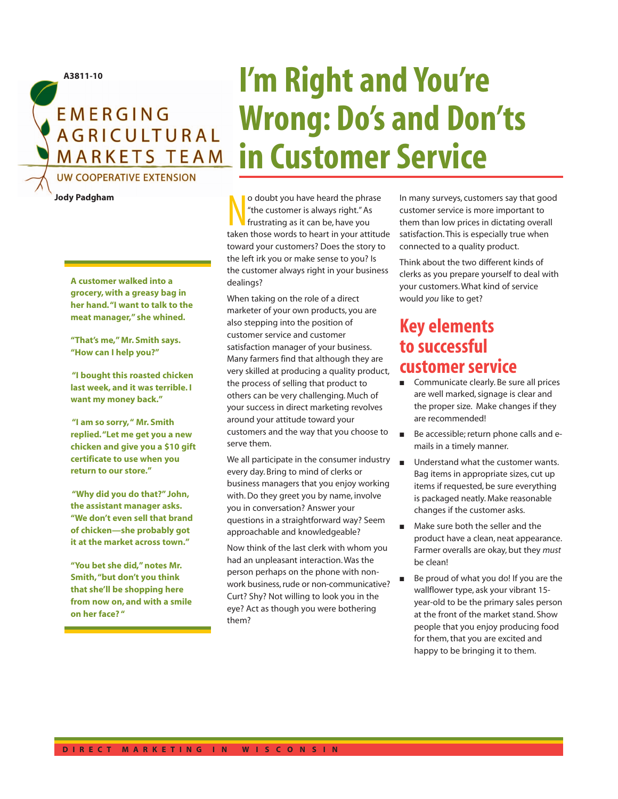

**Jody Padgham**

**A customer walked into a grocery, with a greasy bag in her hand."I want to talk to the meat manager," she whined.**

**"That's me," Mr. Smith says. "How can I help you?"**

**"I bought this roasted chicken last week, and it was terrible. I want my money back."**

**"I am so sorry," Mr. Smith replied."Let me get you a new chicken and give you a \$10 gift certificate to use when you return to our store."**

**"Why did you do that?" John, the assistant manager asks. "We don't even sell that brand of chicken—she probably got it at the market across town."**

**"You bet she did," notes Mr. Smith,"but don't you think that she'll be shopping here from now on, and with a smile on her face? "**

## **I'm Right and You're Wrong: Do's and Don'ts in Customer Service**

o doubt you have heard the phrase<br>
"the customer is always right." As<br>
frustrating as it can be, have you<br>
taken those words to heart in your attitude o doubt you have heard the phrase "the customer is always right." As frustrating as it can be, have you toward your customers? Does the story to the left irk you or make sense to you? Is the customer always right in your business dealings?

When taking on the role of a direct marketer of your own products, you are also stepping into the position of customer service and customer satisfaction manager of your business. Many farmers find that although they are very skilled at producing a quality product, the process of selling that product to others can be very challenging. Much of your success in direct marketing revolves around your attitude toward your customers and the way that you choose to serve them.

We all participate in the consumer industry every day. Bring to mind of clerks or business managers that you enjoy working with. Do they greet you by name, involve you in conversation? Answer your questions in a straightforward way? Seem approachable and knowledgeable?

Now think of the last clerk with whom you had an unpleasant interaction. Was the person perhaps on the phone with nonwork business, rude or non-communicative? Curt? Shy? Not willing to look you in the eye? Act as though you were bothering them?

In many surveys, customers say that good customer service is more important to them than low prices in dictating overall satisfaction. This is especially true when connected to a quality product.

Think about the two different kinds of clerks as you prepare yourself to deal with your customers. What kind of service would *you* like to get?

## **Key elements to successful customer service**

- Communicate clearly. Be sure all prices are well marked, signage is clear and the proper size. Make changes if they are recommended!
- Be accessible; return phone calls and emails in a timely manner.
- Understand what the customer wants. Bag items in appropriate sizes, cut up items if requested, be sure everything is packaged neatly. Make reasonable changes if the customer asks.
- Make sure both the seller and the product have a clean, neat appearance. Farmer overalls are okay, but they *must* be clean!
- Be proud of what you do! If you are the wallflower type, ask your vibrant 15 year-old to be the primary sales person at the front of the market stand. Show people that you enjoy producing food for them, that you are excited and happy to be bringing it to them.